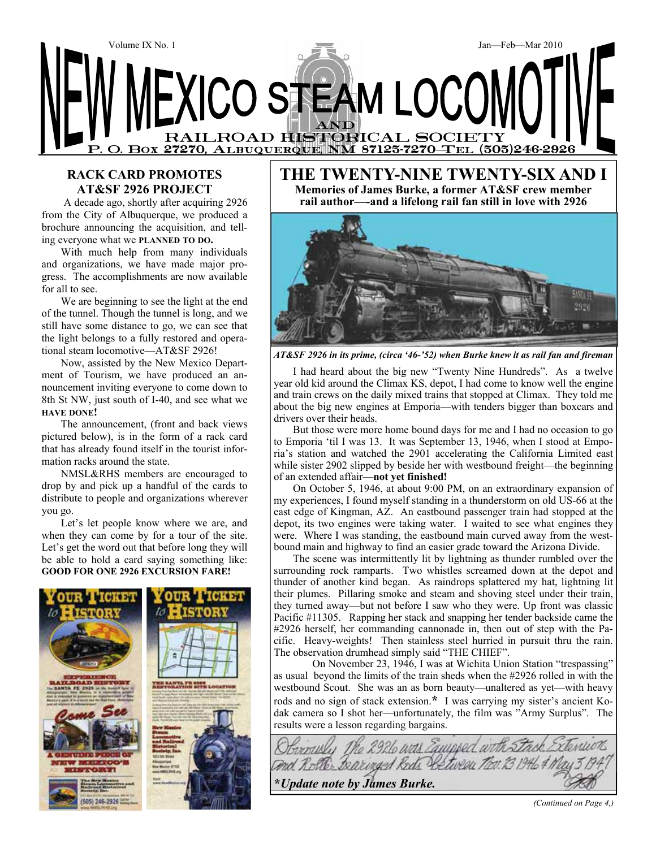

### **RACK CARD PROMOTES AT&SF 2926 PROJECT**

 A decade ago, shortly after acquiring 2926 from the City of Albuquerque, we produced a brochure announcing the acquisition, and telling everyone what we **PLANNED TO DO.** 

With much help from many individuals and organizations, we have made major progress. The accomplishments are now available for all to see.

We are beginning to see the light at the end of the tunnel. Though the tunnel is long, and we still have some distance to go, we can see that the light belongs to a fully restored and operational steam locomotive—AT&SF 2926!

Now, assisted by the New Mexico Department of Tourism, we have produced an announcement inviting everyone to come down to 8th St NW, just south of I-40, and see what we **HAVE DONE!** 

The announcement, (front and back views pictured below), is in the form of a rack card that has already found itself in the tourist information racks around the state.

NMSL&RHS members are encouraged to drop by and pick up a handful of the cards to distribute to people and organizations wherever you go.

Let's let people know where we are, and when they can come by for a tour of the site. Let's get the word out that before long they will be able to hold a card saying something like: **GOOD FOR ONE 2926 EXCURSION FARE!**



**THE TWENTY-NINE TWENTY-SIX AND I Memories of James Burke, a former AT&SF crew member rail author—-and a lifelong rail fan still in love with 2926** 



*AT&SF 2926 in its prime, (circa '46-'52) when Burke knew it as rail fan and fireman* 

I had heard about the big new "Twenty Nine Hundreds". As a twelve year old kid around the Climax KS, depot, I had come to know well the engine and train crews on the daily mixed trains that stopped at Climax. They told me about the big new engines at Emporia—with tenders bigger than boxcars and drivers over their heads.

But those were more home bound days for me and I had no occasion to go to Emporia 'til I was 13. It was September 13, 1946, when I stood at Emporia's station and watched the 2901 accelerating the California Limited east while sister 2902 slipped by beside her with westbound freight—the beginning of an extended affair—**not yet finished!** 

On October 5, 1946, at about 9:00 PM, on an extraordinary expansion of my experiences, I found myself standing in a thunderstorm on old US-66 at the east edge of Kingman, AZ. An eastbound passenger train had stopped at the depot, its two engines were taking water. I waited to see what engines they were. Where I was standing, the eastbound main curved away from the westbound main and highway to find an easier grade toward the Arizona Divide.

The scene was intermittently lit by lightning as thunder rumbled over the surrounding rock ramparts. Two whistles screamed down at the depot and thunder of another kind began. As raindrops splattered my hat, lightning lit their plumes. Pillaring smoke and steam and shoving steel under their train, they turned away—but not before I saw who they were. Up front was classic Pacific #11305. Rapping her stack and snapping her tender backside came the #2926 herself, her commanding cannonade in, then out of step with the Pacific. Heavy-weights! Then stainless steel hurried in pursuit thru the rain. The observation drumhead simply said "THE CHIEF".

On November 23, 1946, I was at Wichita Union Station "trespassing" as usual beyond the limits of the train sheds when the #2926 rolled in with the westbound Scout. She was an as born beauty—unaltered as yet—with heavy rods and no sign of stack extension.**\*** I was carrying my sister's ancient Kodak camera so I shot her—unfortunately, the film was "Army Surplus". The results were a lesson regarding bargains.

The 2926 was Equipped with and Rotte Bearinged Reds Retween Too. 13 1946 & M **\****Update note by James Burke.*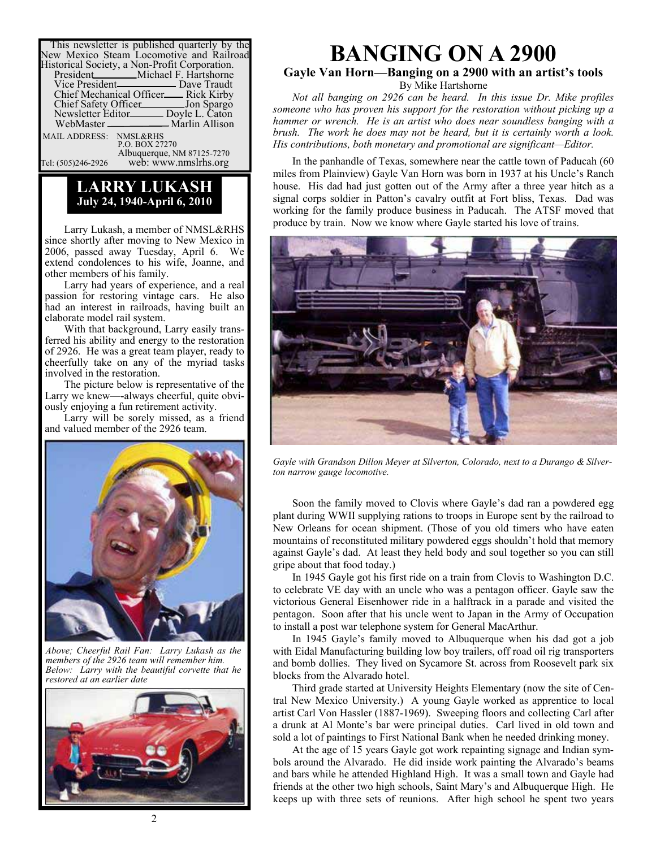| This newsletter is published quarterly by the<br>New Mexico Steam Locomotive and Railroad |
|-------------------------------------------------------------------------------------------|
| Historical Society, a Non-Profit Corporation.                                             |
| President<br>Michael F. Hartshorne                                                        |
|                                                                                           |
| Chief Mechanical Officer <sub>com</sub> Rick Kirby                                        |
| Chief Safety Officer______________ Jon Spargo                                             |
| Newsletter Editor________ Doyle L. Caton                                                  |
| WebMaster ___________________ Marlin Allison                                              |
| MAIL ADDRESS: NMSL&RHS                                                                    |
| P.O. BOX 27270                                                                            |
| Albuquerque, NM 87125-7270                                                                |

Tel: (505)246-2926 web: www.nmslrhs.org

### **LARRY LUKASH July 24, 1940-April 6, 2010**

Larry Lukash, a member of NMSL&RHS since shortly after moving to New Mexico in 2006, passed away Tuesday, April 6. We extend condolences to his wife, Joanne, and other members of his family.

Larry had years of experience, and a real passion for restoring vintage cars. He also had an interest in railroads, having built an elaborate model rail system.

With that background, Larry easily transferred his ability and energy to the restoration of 2926. He was a great team player, ready to cheerfully take on any of the myriad tasks involved in the restoration.

The picture below is representative of the Larry we knew—-always cheerful, quite obviously enjoying a fun retirement activity.

Larry will be sorely missed, as a friend and valued member of the 2926 team.



*Above; Cheerful Rail Fan: Larry Lukash as the members of the 2926 team will remember him. Below: Larry with the beautiful corvette that he restored at an earlier date* 



# **BANGING ON A 2900 Gayle Van Horn—Banging on a 2900 with an artist's tools**

By Mike Hartshorne

*Not all banging on 2926 can be heard. In this issue Dr. Mike profiles someone who has proven his support for the restoration without picking up a hammer or wrench. He is an artist who does near soundless banging with a brush. The work he does may not be heard, but it is certainly worth a look. His contributions, both monetary and promotional are significant—Editor.* 

In the panhandle of Texas, somewhere near the cattle town of Paducah (60 miles from Plainview) Gayle Van Horn was born in 1937 at his Uncle's Ranch house. His dad had just gotten out of the Army after a three year hitch as a signal corps soldier in Patton's cavalry outfit at Fort bliss, Texas. Dad was working for the family produce business in Paducah. The ATSF moved that produce by train. Now we know where Gayle started his love of trains.



*Gayle with Grandson Dillon Meyer at Silverton, Colorado, next to a Durango & Silverton narrow gauge locomotive.* 

Soon the family moved to Clovis where Gayle's dad ran a powdered egg plant during WWII supplying rations to troops in Europe sent by the railroad to New Orleans for ocean shipment. (Those of you old timers who have eaten mountains of reconstituted military powdered eggs shouldn't hold that memory against Gayle's dad. At least they held body and soul together so you can still gripe about that food today.)

In 1945 Gayle got his first ride on a train from Clovis to Washington D.C. to celebrate VE day with an uncle who was a pentagon officer. Gayle saw the victorious General Eisenhower ride in a halftrack in a parade and visited the pentagon. Soon after that his uncle went to Japan in the Army of Occupation to install a post war telephone system for General MacArthur.

In 1945 Gayle's family moved to Albuquerque when his dad got a job with Eidal Manufacturing building low boy trailers, off road oil rig transporters and bomb dollies. They lived on Sycamore St. across from Roosevelt park six blocks from the Alvarado hotel.

Third grade started at University Heights Elementary (now the site of Central New Mexico University.) A young Gayle worked as apprentice to local artist Carl Von Hassler (1887-1969). Sweeping floors and collecting Carl after a drunk at Al Monte's bar were principal duties. Carl lived in old town and sold a lot of paintings to First National Bank when he needed drinking money.

At the age of 15 years Gayle got work repainting signage and Indian symbols around the Alvarado. He did inside work painting the Alvarado's beams and bars while he attended Highland High. It was a small town and Gayle had friends at the other two high schools, Saint Mary's and Albuquerque High. He keeps up with three sets of reunions. After high school he spent two years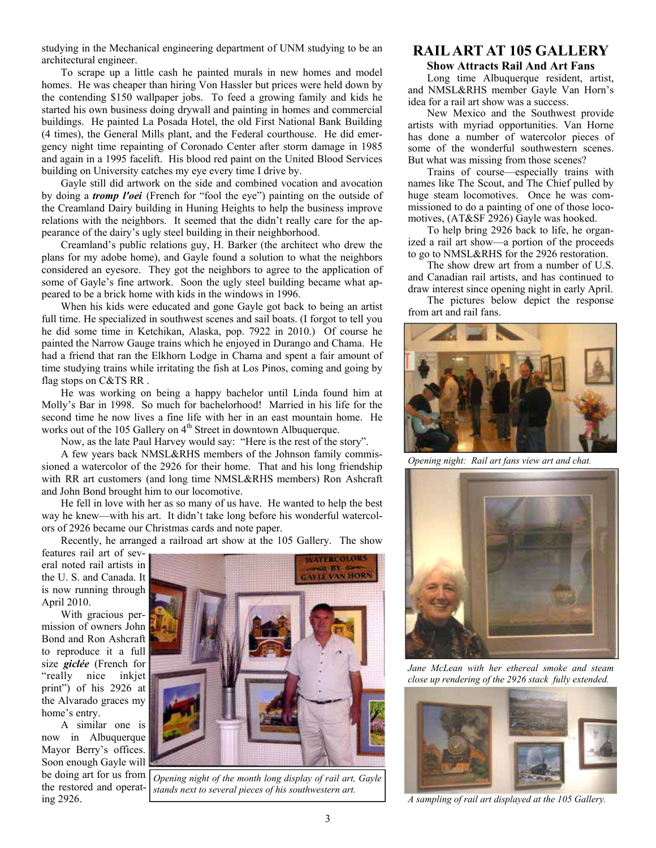studying in the Mechanical engineering department of UNM studying to be an architectural engineer.

To scrape up a little cash he painted murals in new homes and model homes. He was cheaper than hiring Von Hassler but prices were held down by the contending \$150 wallpaper jobs. To feed a growing family and kids he started his own business doing drywall and painting in homes and commercial buildings. He painted La Posada Hotel, the old First National Bank Building (4 times), the General Mills plant, and the Federal courthouse. He did emergency night time repainting of Coronado Center after storm damage in 1985 and again in a 1995 facelift. His blood red paint on the United Blood Services building on University catches my eye every time I drive by.

Gayle still did artwork on the side and combined vocation and avocation by doing a *tromp l'oei* (French for "fool the eye") painting on the outside of the Creamland Dairy building in Huning Heights to help the business improve relations with the neighbors. It seemed that the didn't really care for the appearance of the dairy's ugly steel building in their neighborhood.

Creamland's public relations guy, H. Barker (the architect who drew the plans for my adobe home), and Gayle found a solution to what the neighbors considered an eyesore. They got the neighbors to agree to the application of some of Gayle's fine artwork. Soon the ugly steel building became what appeared to be a brick home with kids in the windows in 1996.

When his kids were educated and gone Gayle got back to being an artist full time. He specialized in southwest scenes and sail boats. (I forgot to tell you he did some time in Ketchikan, Alaska, pop. 7922 in 2010.) Of course he painted the Narrow Gauge trains which he enjoyed in Durango and Chama. He had a friend that ran the Elkhorn Lodge in Chama and spent a fair amount of time studying trains while irritating the fish at Los Pinos, coming and going by flag stops on C&TS RR .

He was working on being a happy bachelor until Linda found him at Molly's Bar in 1998. So much for bachelorhood! Married in his life for the second time he now lives a fine life with her in an east mountain home. He works out of the 105 Gallery on 4<sup>th</sup> Street in downtown Albuquerque.

Now, as the late Paul Harvey would say: "Here is the rest of the story".

A few years back NMSL&RHS members of the Johnson family commissioned a watercolor of the 2926 for their home. That and his long friendship with RR art customers (and long time NMSL&RHS members) Ron Ashcraft and John Bond brought him to our locomotive.

He fell in love with her as so many of us have. He wanted to help the best way he knew—with his art. It didn't take long before his wonderful watercolors of 2926 became our Christmas cards and note paper.

Recently, he arranged a railroad art show at the 105 Gallery. The show

features rail art of several noted rail artists in the U. S. and Canada. It is now running through April 2010.

With gracious permission of owners John Bond and Ron Ashcraft to reproduce it a full size *giclée* (French for "really nice inkjet print") of his 2926 at the Alvarado graces my home's entry.

A similar one is now in Albuquerque Mayor Berry's offices. Soon enough Gayle will be doing art for us from the restored and operating 2926.



*Opening night of the month long display of rail art, Gayle stands next to several pieces of his southwestern art.* 

## **RAIL ART AT 105 GALLERY**

**Show Attracts Rail And Art Fans** 

Long time Albuquerque resident, artist, and NMSL&RHS member Gayle Van Horn's idea for a rail art show was a success.

New Mexico and the Southwest provide artists with myriad opportunities. Van Horne has done a number of watercolor pieces of some of the wonderful southwestern scenes. But what was missing from those scenes?

Trains of course—especially trains with names like The Scout, and The Chief pulled by huge steam locomotives. Once he was commissioned to do a painting of one of those locomotives, (AT&SF 2926) Gayle was hooked.

To help bring 2926 back to life, he organized a rail art show—a portion of the proceeds to go to NMSL&RHS for the 2926 restoration.

The show drew art from a number of U.S. and Canadian rail artists, and has continued to draw interest since opening night in early April.

The pictures below depict the response from art and rail fans.



*Opening night: Rail art fans view art and chat.* 



*Jane McLean with her ethereal smoke and steam close up rendering of the 2926 stack fully extended.* 



*A sampling of rail art displayed at the 105 Gallery.*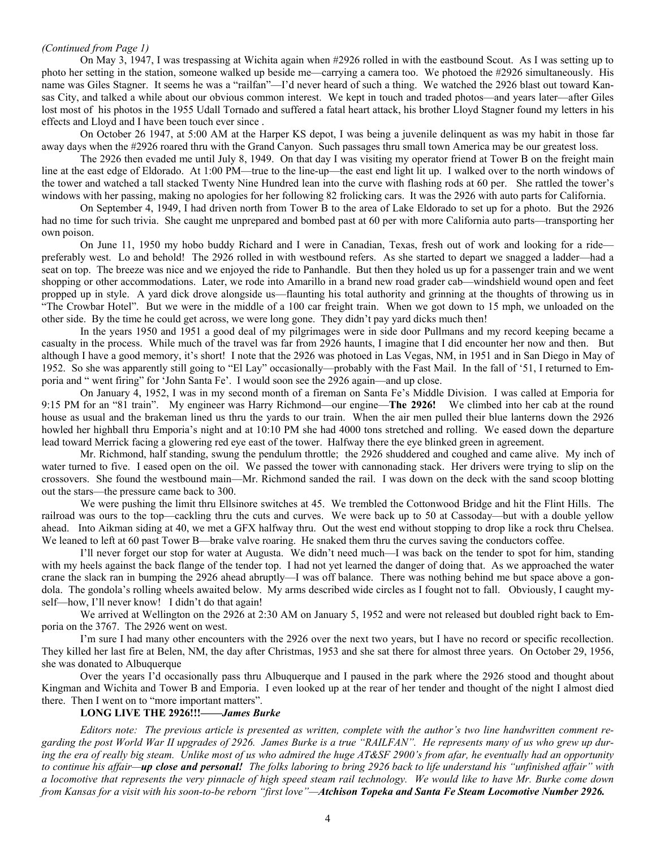#### *(Continued from Page 1)*

On May 3, 1947, I was trespassing at Wichita again when #2926 rolled in with the eastbound Scout. As I was setting up to photo her setting in the station, someone walked up beside me—carrying a camera too. We photoed the #2926 simultaneously. His name was Giles Stagner. It seems he was a "railfan"—I'd never heard of such a thing. We watched the 2926 blast out toward Kansas City, and talked a while about our obvious common interest. We kept in touch and traded photos—and years later—after Giles lost most of his photos in the 1955 Udall Tornado and suffered a fatal heart attack, his brother Lloyd Stagner found my letters in his effects and Lloyd and I have been touch ever since .

On October 26 1947, at 5:00 AM at the Harper KS depot, I was being a juvenile delinquent as was my habit in those far away days when the #2926 roared thru with the Grand Canyon. Such passages thru small town America may be our greatest loss.

The 2926 then evaded me until July 8, 1949. On that day I was visiting my operator friend at Tower B on the freight main line at the east edge of Eldorado. At 1:00 PM—true to the line-up—the east end light lit up. I walked over to the north windows of the tower and watched a tall stacked Twenty Nine Hundred lean into the curve with flashing rods at 60 per. She rattled the tower's windows with her passing, making no apologies for her following 82 frolicking cars. It was the 2926 with auto parts for California.

On September 4, 1949, I had driven north from Tower B to the area of Lake Eldorado to set up for a photo. But the 2926 had no time for such trivia. She caught me unprepared and bombed past at 60 per with more California auto parts—transporting her own poison.

On June 11, 1950 my hobo buddy Richard and I were in Canadian, Texas, fresh out of work and looking for a ride preferably west. Lo and behold! The 2926 rolled in with westbound refers. As she started to depart we snagged a ladder—had a seat on top. The breeze was nice and we enjoyed the ride to Panhandle. But then they holed us up for a passenger train and we went shopping or other accommodations. Later, we rode into Amarillo in a brand new road grader cab—windshield wound open and feet propped up in style. A yard dick drove alongside us—flaunting his total authority and grinning at the thoughts of throwing us in "The Crowbar Hotel". But we were in the middle of a 100 car freight train. When we got down to 15 mph, we unloaded on the other side. By the time he could get across, we were long gone. They didn't pay yard dicks much then!

In the years 1950 and 1951 a good deal of my pilgrimages were in side door Pullmans and my record keeping became a casualty in the process. While much of the travel was far from 2926 haunts, I imagine that I did encounter her now and then. But although I have a good memory, it's short! I note that the 2926 was photoed in Las Vegas, NM, in 1951 and in San Diego in May of 1952. So she was apparently still going to "El Lay" occasionally—probably with the Fast Mail. In the fall of '51, I returned to Emporia and " went firing" for 'John Santa Fe'. I would soon see the 2926 again—and up close.

On January 4, 1952, I was in my second month of a fireman on Santa Fe's Middle Division. I was called at Emporia for 9:15 PM for an "81 train". My engineer was Harry Richmond—our engine—**The 2926!** We climbed into her cab at the round house as usual and the brakeman lined us thru the yards to our train. When the air men pulled their blue lanterns down the 2926 howled her highball thru Emporia's night and at 10:10 PM she had 4000 tons stretched and rolling. We eased down the departure lead toward Merrick facing a glowering red eye east of the tower. Halfway there the eye blinked green in agreement.

Mr. Richmond, half standing, swung the pendulum throttle; the 2926 shuddered and coughed and came alive. My inch of water turned to five. I eased open on the oil. We passed the tower with cannonading stack. Her drivers were trying to slip on the crossovers. She found the westbound main—Mr. Richmond sanded the rail. I was down on the deck with the sand scoop blotting out the stars—the pressure came back to 300.

We were pushing the limit thru Ellsinore switches at 45. We trembled the Cottonwood Bridge and hit the Flint Hills. The railroad was ours to the top—cackling thru the cuts and curves. We were back up to 50 at Cassoday—but with a double yellow ahead. Into Aikman siding at 40, we met a GFX halfway thru. Out the west end without stopping to drop like a rock thru Chelsea. We leaned to left at 60 past Tower B—brake valve roaring. He snaked them thru the curves saving the conductors coffee.

I'll never forget our stop for water at Augusta. We didn't need much—I was back on the tender to spot for him, standing with my heels against the back flange of the tender top. I had not yet learned the danger of doing that. As we approached the water crane the slack ran in bumping the 2926 ahead abruptly—I was off balance. There was nothing behind me but space above a gondola. The gondola's rolling wheels awaited below. My arms described wide circles as I fought not to fall. Obviously, I caught myself—how, I'll never know! I didn't do that again!

We arrived at Wellington on the 2926 at 2:30 AM on January 5, 1952 and were not released but doubled right back to Emporia on the 3767. The 2926 went on west.

I'm sure I had many other encounters with the 2926 over the next two years, but I have no record or specific recollection. They killed her last fire at Belen, NM, the day after Christmas, 1953 and she sat there for almost three years. On October 29, 1956, she was donated to Albuquerque

Over the years I'd occasionally pass thru Albuquerque and I paused in the park where the 2926 stood and thought about Kingman and Wichita and Tower B and Emporia. I even looked up at the rear of her tender and thought of the night I almost died there. Then I went on to "more important matters".

#### **LONG LIVE THE 2926!!!——***James Burke*

*Editors note: The previous article is presented as written, complete with the author's two line handwritten comment regarding the post World War II upgrades of 2926. James Burke is a true "RAILFAN". He represents many of us who grew up dur*ing the era of really big steam. Unlike most of us who admired the huge AT&SF 2900's from afar, he eventually had an opportunity *to continue his affair—up close and personal! The folks laboring to bring 2926 back to life understand his "unfinished affair" with a locomotive that represents the very pinnacle of high speed steam rail technology. We would like to have Mr. Burke come down from Kansas for a visit with his soon-to-be reborn "first love"—Atchison Topeka and Santa Fe Steam Locomotive Number 2926.*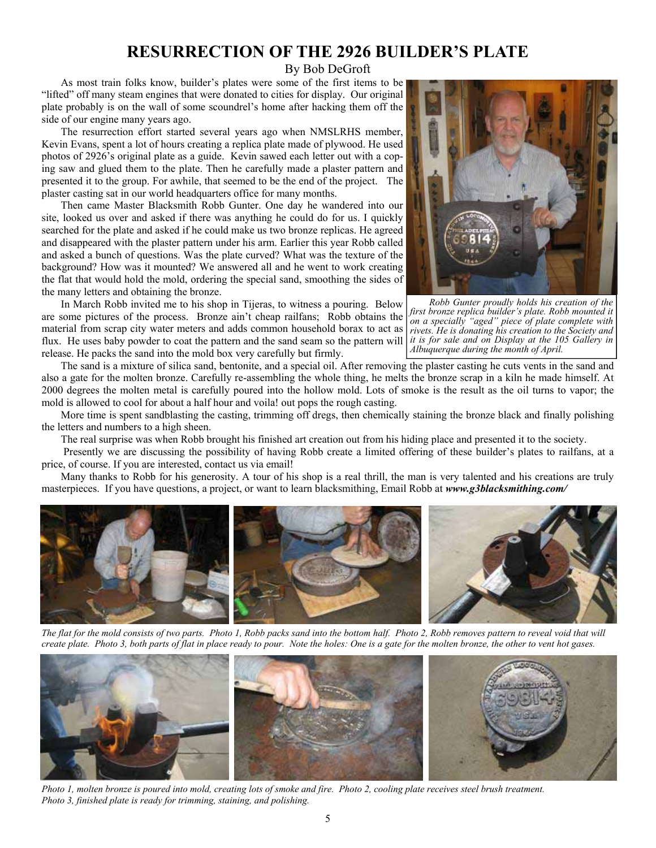## **RESURRECTION OF THE 2926 BUILDER'S PLATE**

By Bob DeGroft

As most train folks know, builder's plates were some of the first items to be "lifted" off many steam engines that were donated to cities for display. Our original plate probably is on the wall of some scoundrel's home after hacking them off the side of our engine many years ago.

The resurrection effort started several years ago when NMSLRHS member, Kevin Evans, spent a lot of hours creating a replica plate made of plywood. He used photos of 2926's original plate as a guide. Kevin sawed each letter out with a coping saw and glued them to the plate. Then he carefully made a plaster pattern and presented it to the group. For awhile, that seemed to be the end of the project. The plaster casting sat in our world headquarters office for many months.

Then came Master Blacksmith Robb Gunter. One day he wandered into our site, looked us over and asked if there was anything he could do for us. I quickly searched for the plate and asked if he could make us two bronze replicas. He agreed and disappeared with the plaster pattern under his arm. Earlier this year Robb called and asked a bunch of questions. Was the plate curved? What was the texture of the background? How was it mounted? We answered all and he went to work creating the flat that would hold the mold, ordering the special sand, smoothing the sides of the many letters and obtaining the bronze.

In March Robb invited me to his shop in Tijeras, to witness a pouring. Below are some pictures of the process. Bronze ain't cheap railfans; Robb obtains the material from scrap city water meters and adds common household borax to act as flux. He uses baby powder to coat the pattern and the sand seam so the pattern will release. He packs the sand into the mold box very carefully but firmly.



*Robb Gunter proudly holds his creation of the first bronze replica builder's plate. Robb mounted it on a specially "aged" piece of plate complete with rivets. He is donating his creation to the Society and it is for sale and on Display at the 105 Gallery in Albuquerque during the month of April.* 

The sand is a mixture of silica sand, bentonite, and a special oil. After removing the plaster casting he cuts vents in the sand and also a gate for the molten bronze. Carefully re-assembling the whole thing, he melts the bronze scrap in a kiln he made himself. At 2000 degrees the molten metal is carefully poured into the hollow mold. Lots of smoke is the result as the oil turns to vapor; the mold is allowed to cool for about a half hour and voila! out pops the rough casting.

More time is spent sandblasting the casting, trimming off dregs, then chemically staining the bronze black and finally polishing the letters and numbers to a high sheen.

The real surprise was when Robb brought his finished art creation out from his hiding place and presented it to the society.

 Presently we are discussing the possibility of having Robb create a limited offering of these builder's plates to railfans, at a price, of course. If you are interested, contact us via email!

Many thanks to Robb for his generosity. A tour of his shop is a real thrill, the man is very talented and his creations are truly masterpieces. If you have questions, a project, or want to learn blacksmithing, Email Robb at *www.g3blacksmithing.com/* 



The flat for the mold consists of two parts. Photo 1, Robb packs sand into the bottom half. Photo 2, Robb removes pattern to reveal void that will *create plate. Photo 3, both parts of flat in place ready to pour. Note the holes: One is a gate for the molten bronze, the other to vent hot gases.* 



*Photo 1, molten bronze is poured into mold, creating lots of smoke and fire. Photo 2, cooling plate receives steel brush treatment. Photo 3, finished plate is ready for trimming, staining, and polishing.*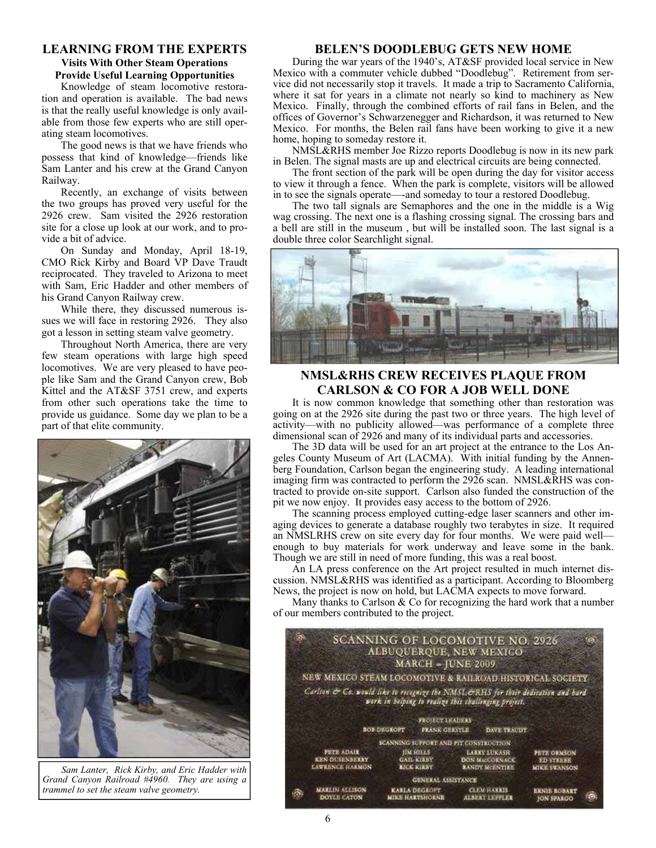### **LEARNING FROM THE EXPERTS Visits With Other Steam Operations Provide Useful Learning Opportunities**

Knowledge of steam locomotive restoration and operation is available. The bad news is that the really useful knowledge is only available from those few experts who are still operating steam locomotives.

The good news is that we have friends who possess that kind of knowledge—friends like Sam Lanter and his crew at the Grand Canyon Railway.

Recently, an exchange of visits between the two groups has proved very useful for the 2926 crew. Sam visited the 2926 restoration site for a close up look at our work, and to provide a bit of advice.

On Sunday and Monday, April 18-19, CMO Rick Kirby and Board VP Dave Traudt reciprocated. They traveled to Arizona to meet with Sam, Eric Hadder and other members of his Grand Canyon Railway crew.

While there, they discussed numerous issues we will face in restoring 2926. They also got a lesson in setting steam valve geometry.

Throughout North America, there are very few steam operations with large high speed locomotives. We are very pleased to have people like Sam and the Grand Canyon crew, Bob Kittel and the AT&SF 3751 crew, and experts from other such operations take the time to provide us guidance. Some day we plan to be a part of that elite community.



*Sam Lanter, Rick Kirby, and Eric Hadder with Grand Canyon Railroad #4960. They are using a trammel to set the steam valve geometry.* 

#### **BELEN'S DOODLEBUG GETS NEW HOME**

During the war years of the 1940's, AT&SF provided local service in New Mexico with a commuter vehicle dubbed "Doodlebug". Retirement from service did not necessarily stop it travels. It made a trip to Sacramento California, where it sat for years in a climate not nearly so kind to machinery as New Mexico. Finally, through the combined efforts of rail fans in Belen, and the offices of Governor's Schwarzenegger and Richardson, it was returned to New Mexico. For months, the Belen rail fans have been working to give it a new home, hoping to someday restore it.

NMSL&RHS member Joe Rizzo reports Doodlebug is now in its new park in Belen. The signal masts are up and electrical circuits are being connected.

The front section of the park will be open during the day for visitor access to view it through a fence. When the park is complete, visitors will be allowed in to see the signals operate—-and someday to tour a restored Doodlebug.

The two tall signals are Semaphores and the one in the middle is a Wig wag crossing. The next one is a flashing crossing signal. The crossing bars and a bell are still in the museum , but will be installed soon. The last signal is a double three color Searchlight signal.



### **NMSL&RHS CREW RECEIVES PLAQUE FROM CARLSON & CO FOR A JOB WELL DONE**

It is now common knowledge that something other than restoration was going on at the 2926 site during the past two or three years. The high level of activity—with no publicity allowed—was performance of a complete three dimensional scan of 2926 and many of its individual parts and accessories.

The 3D data will be used for an art project at the entrance to the Los Angeles County Museum of Art (LACMA). With initial funding by the Annenberg Foundation, Carlson began the engineering study. A leading international imaging firm was contracted to perform the 2926 scan. NMSL&RHS was contracted to provide on-site support. Carlson also funded the construction of the pit we now enjoy. It provides easy access to the bottom of 2926.

The scanning process employed cutting-edge laser scanners and other imaging devices to generate a database roughly two terabytes in size. It required an NMSLRHS crew on site every day for four months. We were paid well enough to buy materials for work underway and leave some in the bank. Though we are still in need of more funding, this was a real boost.

An LA press conference on the Art project resulted in much internet discussion. NMSL&RHS was identified as a participant. According to Bloomberg News, the project is now on hold, but LACMA expects to move forward.

Many thanks to Carlson  $\&$  Co for recognizing the hard work that a number of our members contributed to the project.

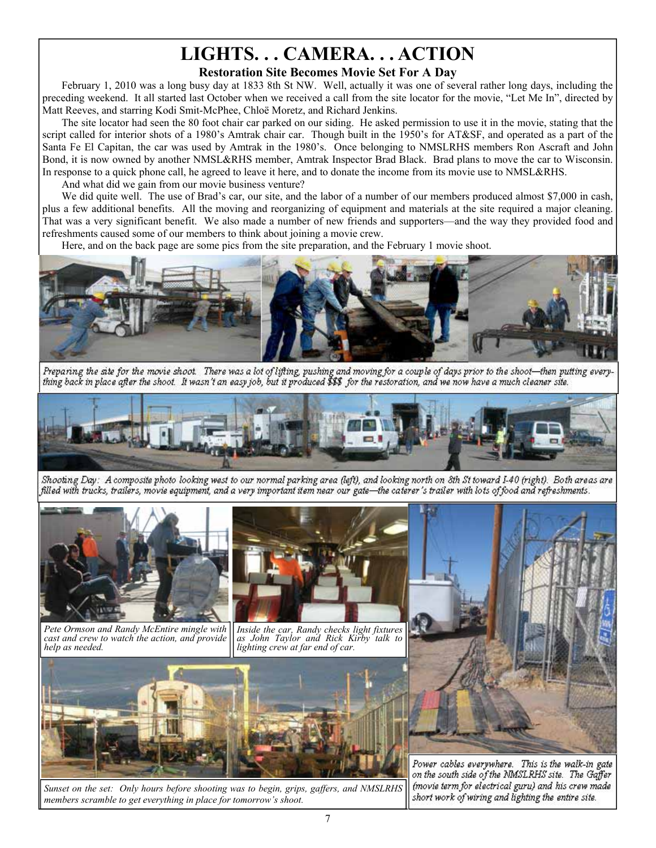# **LIGHTS. . . CAMERA. . . ACTION Restoration Site Becomes Movie Set For A Day**

February 1, 2010 was a long busy day at 1833 8th St NW. Well, actually it was one of several rather long days, including the preceding weekend. It all started last October when we received a call from the site locator for the movie, "Let Me In", directed by Matt Reeves, and starring Kodi Smit-McPhee, Chloë Moretz, and Richard Jenkins.

The site locator had seen the 80 foot chair car parked on our siding. He asked permission to use it in the movie, stating that the script called for interior shots of a 1980's Amtrak chair car. Though built in the 1950's for AT&SF, and operated as a part of the Santa Fe El Capitan, the car was used by Amtrak in the 1980's. Once belonging to NMSLRHS members Ron Ascraft and John Bond, it is now owned by another NMSL&RHS member, Amtrak Inspector Brad Black. Brad plans to move the car to Wisconsin. In response to a quick phone call, he agreed to leave it here, and to donate the income from its movie use to NMSL&RHS.

And what did we gain from our movie business venture?

We did quite well. The use of Brad's car, our site, and the labor of a number of our members produced almost \$7,000 in cash, plus a few additional benefits. All the moving and reorganizing of equipment and materials at the site required a major cleaning. That was a very significant benefit. We also made a number of new friends and supporters—and the way they provided food and refreshments caused some of our members to think about joining a movie crew.

Here, and on the back page are some pics from the site preparation, and the February 1 movie shoot.



Preparing the site for the movie shoot. There was a lot of lifting, pushing and moving for a couple of days prior to the shoot—then putting everything back in place after the shoot. It wasn't an easy job, but it produced \$\$\$ for the restoration, and we now have a much cleaner site.



Shooting Day: A composite photo looking west to our normal parking area (left), and looking north on 8th St toward I-40 (right). Both areas are filled with trucks, trailers, movie equipment, and a very important item near our gate—the caterer's trailer with lots of food and refreshments.



*Pete Ormson and Randy McEntire mingle with cast and crew to watch the action, and provide help as needed.* 



*Inside the car, Randy checks light fixtures as John Taylor and Rick Kirby talk to lighting crew at far end of car.* 



*Sunset on the set: Only hours before shooting was to begin, grips, gaffers, and NMSLRHS members scramble to get everything in place for tomorrow's shoot.*



Power cables everywhere. This is the walk-in gate<br>on the south side of the NMSLRHS site. The Gaffer (movie term for electrical guru) and his crew made short work of wiring and lighting the entire site.